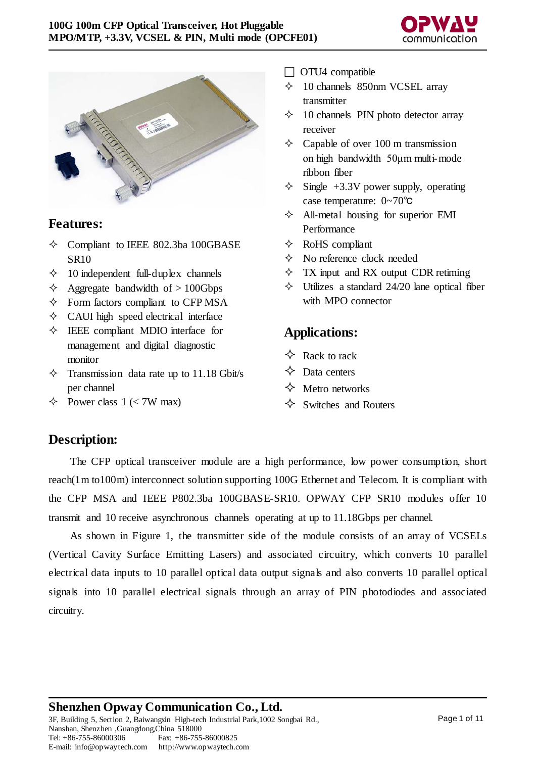



#### **Features:**

- $\Diamond$  Compliant to IEEE 802.3ba 100GBASE SR10
- $\div$  10 independent full-duplex channels
- $\triangle$  Aggregate bandwidth of > 100Gbps
- $\Diamond$  Form factors compliant to CFP MSA
- $\Diamond$  CAUI high speed electrical interface
- $\Diamond$  IEEE compliant MDIO interface for management and digital diagnostic monitor
- $\Diamond$  Transmission data rate up to 11.18 Gbit/s per channel
- $\diamond$  Power class 1 (< 7W max)
- $\Box$  OTU4 compatible
- $\div$  10 channels 850nm VCSEL array transmitter
- $\div$  10 channels PIN photo detector array receiver
- $\Diamond$  Capable of over 100 m transmission on high bandwidth 50μm multi-mode ribbon fiber
- $\diamond$  Single +3.3V power supply, operating case temperature: 0~70℃
- $\triangle$  All-metal housing for superior EMI Performance
- $\Diamond$  RoHS compliant
- $\Diamond$  No reference clock needed
- $\Diamond$  TX input and RX output CDR retiming
- $\diamond$  Utilizes a standard 24/20 lane optical fiber with MPO connector

## **Applications:**

- $\Diamond$  Rack to rack
- $\Diamond$  Data centers
- $\Leftrightarrow$  Metro networks
- $\Leftrightarrow$  Switches and Routers

## **Description:**

The CFP optical transceiver module are a high performance, low power consumption, short reach(1m to100m) interconnect solution supporting 100G Ethernet and Telecom. It is compliant with the CFP MSA and IEEE P802.3ba 100GBASE-SR10. OPWAY CFP SR10 modules offer 10 transmit and 10 receive asynchronous channels operating at up to 11.18Gbps per channel.

As shown in Figure 1, the transmitter side of the module consists of an array of VCSELs (Vertical Cavity Surface Emitting Lasers) and associated circuitry, which converts 10 parallel electrical data inputs to 10 parallel optical data output signals and also converts 10 parallel optical signals into 10 parallel electrical signals through an array of PIN photodiodes and associated circuitry.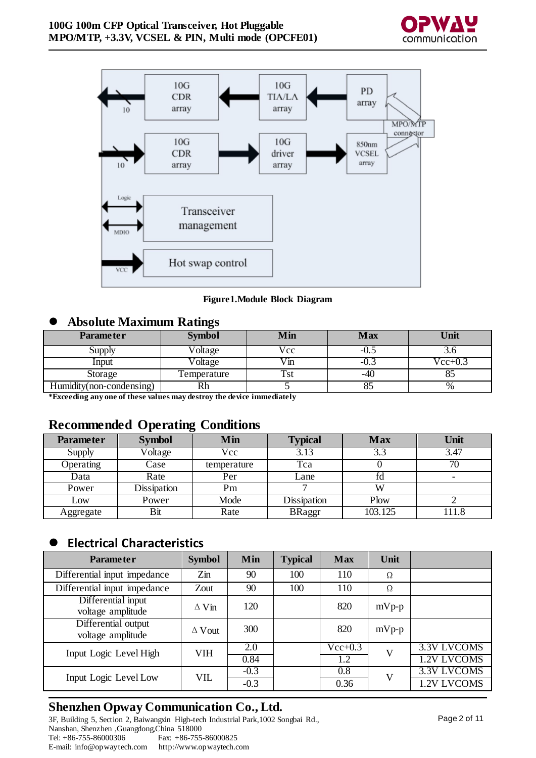



**Figure1.Module Block Diagram**

#### **Absolute Maximum Ratings**

| <b>Parameter</b>         | <b>Symbol</b> | Min  | Max    | Unit      |
|--------------------------|---------------|------|--------|-----------|
| Supply                   | Voltage       | Vcc  | $-0.5$ |           |
| Input                    | Voltage       | √in  | $-0.$  | $Vec+0.3$ |
| Storage                  | Temperature   | I St | -40    |           |
| Humidity(non-condensing) | Rh            |      |        | $\%$      |

**\*Exceeding any one of these values may destroy the device immediately**

#### **Recommended Operating Conditions**

| <b>Parameter</b> | <b>Symbol</b> | Min         | <b>Typical</b> | <b>Max</b> | Unit                     |
|------------------|---------------|-------------|----------------|------------|--------------------------|
| Supply           | Voltage       | Vcc         | 3.13           | 3.3        | 3.47                     |
| <b>Operating</b> | Case          | temperature | Tca            |            | 70                       |
| Data             | Rate          | Per         | Lane           | fd         | $\overline{\phantom{0}}$ |
| Power            | Dissipation   | Pm          |                | W          |                          |
| Low              | Power         | Mode        | Dissipation    | Plow       |                          |
| Aggregate        | Bit           | Rate        | <b>BRaggr</b>  | 103.125    | 111.8                    |

### **Electrical Characteristics**

| <b>Parameter</b>                         | <b>Symbol</b> | Min    | <b>Typical</b> | <b>Max</b> | Unit    |             |
|------------------------------------------|---------------|--------|----------------|------------|---------|-------------|
| Differential input impedance             | $Z$ in        | 90     | 100            | 110        | Ω       |             |
| Differential input impedance             | Zout          | 90     | 100            | 110        | Ω       |             |
| Differential input<br>voltage amplitude  | $\Delta$ Vin  | 120    |                | 820        | $mVp-p$ |             |
| Differential output<br>voltage amplitude | $\Delta$ Vout | 300    |                | 820        | $mVp-p$ |             |
| Input Logic Level High                   | <b>VIH</b>    | 2.0    |                | $Vec+0.3$  | V       | 3.3V LVCOMS |
|                                          |               | 0.84   |                | 1.2        |         | 1.2V LVCOMS |
| Input Logic Level Low                    | <b>VIL</b>    | $-0.3$ |                | 0.8        | V       | 3.3V LVCOMS |
|                                          |               | $-0.3$ |                | 0.36       |         | 1.2V LVCOMS |

# **Shenzhen Opway Communication Co., Ltd.**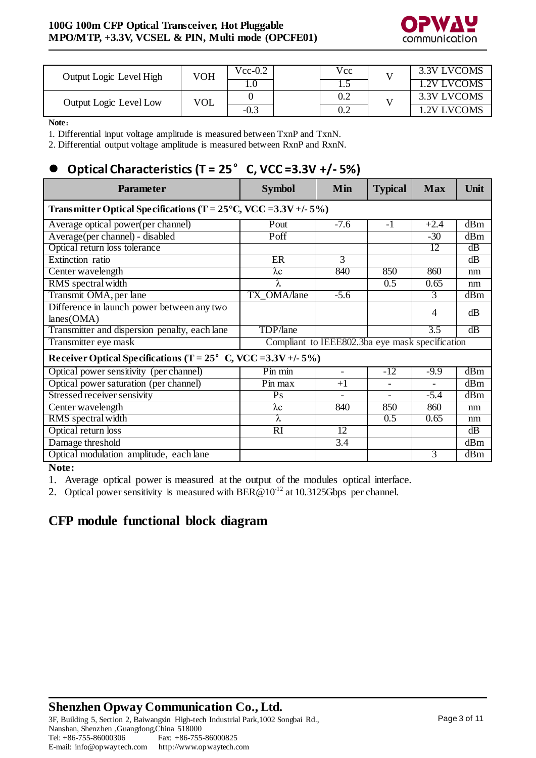

| Output Logic Level High | VOH        | $Vec-0.2$ | Vcc | 3.3V LVCOMS |
|-------------------------|------------|-----------|-----|-------------|
|                         |            |           | 1.J | 1.2V LVCOMS |
| Output Logic Level Low  | <b>VOL</b> |           | 0.2 | 3.3V LVCOMS |
|                         |            | $-0.3$    | ∪.∠ | 1.2V LVCOMS |

**Note**:

1. Differential input voltage amplitude is measured between TxnP and TxnN.

2. Differential output voltage amplitude is measured between RxnP and RxnN.

# **Optical Characteristics (T = 25**°**C, VCC =3.3V +/- 5%)**

| <b>Parameter</b>                                                              | <b>Symbol</b>                                   | Min                      | <b>Typical</b> | <b>Max</b> | Unit |  |  |  |  |
|-------------------------------------------------------------------------------|-------------------------------------------------|--------------------------|----------------|------------|------|--|--|--|--|
| Transmitter Optical Specifications (T = $25^{\circ}$ C, VCC = $3.3V +1.5\%$ ) |                                                 |                          |                |            |      |  |  |  |  |
| Average optical power(per channel)                                            | Pout                                            | $-7.6$                   | $-1$           | $+2.4$     | dBm  |  |  |  |  |
| Average(per channel) - disabled                                               | Poff                                            |                          |                | $-30$      | dBm  |  |  |  |  |
| Optical return loss tolerance                                                 |                                                 |                          |                | 12         | dB   |  |  |  |  |
| Extinction ratio                                                              | ER                                              | 3                        |                |            | dB   |  |  |  |  |
| Center wavelength                                                             | $\lambda c$                                     | 840                      | 850            | 860        | nm   |  |  |  |  |
| RMS spectral width                                                            | λ                                               |                          | 0.5            | 0.65       | nm   |  |  |  |  |
| Transmit OMA, per lane                                                        | TX_OMA/lane                                     | $-5.6$                   |                | 3          | dBm  |  |  |  |  |
| Difference in launch power between any two                                    |                                                 |                          |                | 4          | dB   |  |  |  |  |
| lanes(OMA)                                                                    |                                                 |                          |                |            |      |  |  |  |  |
| Transmitter and dispersion penalty, each lane                                 | TDP/lane                                        |                          |                | 3.5        | dB   |  |  |  |  |
| Transmitter eye mask                                                          | Compliant to IEEE802.3ba eye mask specification |                          |                |            |      |  |  |  |  |
| Receiver Optical Specifications (T = $25^{\circ}$ C, VCC = $3.3V + (-5\%)$    |                                                 |                          |                |            |      |  |  |  |  |
| Optical power sensitivity (per channel)                                       | Pin min                                         | $\overline{\phantom{0}}$ | $-12$          | $-9.9$     | dBm  |  |  |  |  |
| Optical power saturation (per channel)                                        | Pin max                                         | $+1$                     |                |            | dBm  |  |  |  |  |
| Stressed receiver sensivity                                                   | Ps                                              |                          |                | $-5.4$     | dBm  |  |  |  |  |
| Center wavelength                                                             | $\lambda c$                                     | 840                      | 850            | 860        | nm   |  |  |  |  |
| RMS spectral width                                                            | λ                                               |                          | 0.5            | 0.65       | nm   |  |  |  |  |
| Optical return loss                                                           | RI                                              | 12                       |                |            | dB   |  |  |  |  |
| Damage threshold                                                              |                                                 | 3.4                      |                |            | dBm  |  |  |  |  |
| Optical modulation amplitude, each lane                                       |                                                 |                          |                | 3          | dBm  |  |  |  |  |

**Note:**

1. Average optical power is measured at the output of the modules optical interface.

2. Optical power sensitivity is measured with BER@10<sup>-12</sup> at 10.3125Gbps per channel.

## **CFP module functional block diagram**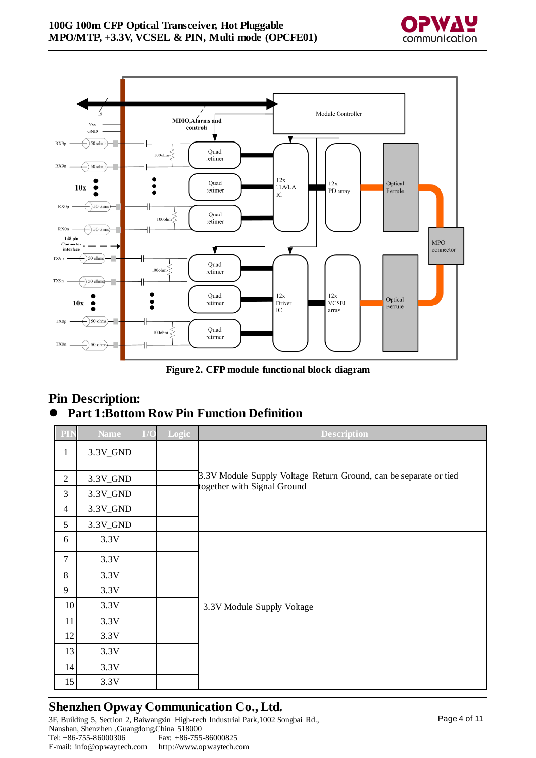



**Figure2. CFP module functional block diagram**

### **Pin Description: Part 1:Bottom Row Pin Function Definition**

| PIN            | Name       | I/O | Logic | <b>Description</b>                                                |  |  |  |  |  |
|----------------|------------|-----|-------|-------------------------------------------------------------------|--|--|--|--|--|
| $\mathbf{1}$   | 3.3V_GND   |     |       |                                                                   |  |  |  |  |  |
|                |            |     |       |                                                                   |  |  |  |  |  |
| $\overline{2}$ | $3.3V_GND$ |     |       | 3.3V Module Supply Voltage Return Ground, can be separate or tied |  |  |  |  |  |
| 3              | 3.3V_GND   |     |       | together with Signal Ground                                       |  |  |  |  |  |
| $\overline{4}$ | 3.3V_GND   |     |       |                                                                   |  |  |  |  |  |
| 5              | $3.3V_GND$ |     |       |                                                                   |  |  |  |  |  |
| 6              | 3.3V       |     |       |                                                                   |  |  |  |  |  |
| 7              | 3.3V       |     |       |                                                                   |  |  |  |  |  |
| 8              | 3.3V       |     |       |                                                                   |  |  |  |  |  |
| 9              | 3.3V       |     |       |                                                                   |  |  |  |  |  |
| 10             | 3.3V       |     |       | 3.3V Module Supply Voltage                                        |  |  |  |  |  |
| 11             | 3.3V       |     |       |                                                                   |  |  |  |  |  |
| 12             | 3.3V       |     |       |                                                                   |  |  |  |  |  |
| 13             | 3.3V       |     |       |                                                                   |  |  |  |  |  |
| 14             | 3.3V       |     |       |                                                                   |  |  |  |  |  |
| 15             | 3.3V       |     |       |                                                                   |  |  |  |  |  |

## **Shenzhen Opway Communication Co., Ltd.**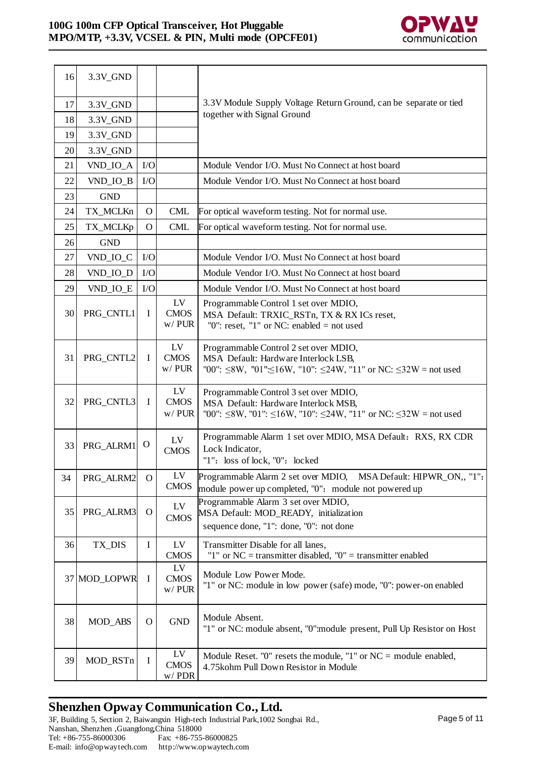

| 16 | 3.3V_GND       |              |                               |                                                                                                                                                                         |
|----|----------------|--------------|-------------------------------|-------------------------------------------------------------------------------------------------------------------------------------------------------------------------|
| 17 | 3.3V_GND       |              |                               | 3.3V Module Supply Voltage Return Ground, can be separate or tied                                                                                                       |
| 18 | $3.3V_GND$     |              |                               | together with Signal Ground                                                                                                                                             |
| 19 | 3.3V_GND       |              |                               |                                                                                                                                                                         |
| 20 | 3.3V_GND       |              |                               |                                                                                                                                                                         |
| 21 | VND_IO_A       | I/O          |                               | Module Vendor I/O. Must No Connect at host board                                                                                                                        |
| 22 | VND_IO_B       | I/O          |                               | Module Vendor I/O. Must No Connect at host board                                                                                                                        |
| 23 | <b>GND</b>     |              |                               |                                                                                                                                                                         |
| 24 | TX_MCLKn       | $\mathbf{O}$ | <b>CML</b>                    | For optical waveform testing. Not for normal use.                                                                                                                       |
| 25 | TX_MCLKp       | $\mathbf{O}$ | <b>CML</b>                    | For optical waveform testing. Not for normal use.                                                                                                                       |
| 26 | <b>GND</b>     |              |                               |                                                                                                                                                                         |
| 27 | VND_IO_C       | I/O          |                               | Module Vendor I/O. Must No Connect at host board                                                                                                                        |
| 28 | VND_IO_D       | I/O          |                               | Module Vendor I/O. Must No Connect at host board                                                                                                                        |
| 29 | VND_IO_E       | I/O          |                               | Module Vendor I/O. Must No Connect at host board                                                                                                                        |
| 30 | PRG_CNTL1      | I            | LV<br><b>CMOS</b><br>$w/$ PUR | Programmable Control 1 set over MDIO,<br>MSA Default: TRXIC_RSTn, TX & RX ICs reset,<br>"0": reset, "1" or NC: enabled = not used                                       |
| 31 | PRG_CNTL2      | $\mathbf I$  | LV<br><b>CMOS</b><br>$w/$ PUR | Programmable Control 2 set over MDIO,<br>MSA Default: Hardware Interlock LSB,<br>"00": $\leq$ 8W, "01": $\leq$ 16W, "10": $\leq$ 24W, "11" or NC: $\leq$ 32W = not used |
| 32 | PRG_CNTL3      | $\bf{I}$     | LV<br><b>CMOS</b><br>$w/$ PUR | Programmable Control 3 set over MDIO,<br>MSA Default: Hardware Interlock MSB,<br>"00": $\leq$ 8W, "01": $\leq$ 16W, "10": $\leq$ 24W, "11" or NC: $\leq$ 32W = not used |
| 33 | PRG_ALRM1      | $\mathbf{O}$ | LV<br><b>CMOS</b>             | Programmable Alarm 1 set over MDIO, MSA Default: RXS, RX CDR<br>Lock Indicator,<br>"1": loss of lock, "0": locked                                                       |
| 34 | PRG ALRM2      | $\mathbf{O}$ | ${\rm LV}$<br><b>CMOS</b>     | Programmable Alarm 2 set over MDIO, MSA Default: HIPWR_ON,, "1":<br>module power up completed, "0": module not powered up                                               |
| 35 | PRG_ALRM3      | $\Omega$     | ${\rm LV}$<br><b>CMOS</b>     | Programmable Alarm 3 set over MDIO,<br>MSA Default: MOD_READY, initialization<br>sequence done, "1": done, "0": not done                                                |
| 36 | TX_DIS         | $\mathbf I$  | LV<br><b>CMOS</b>             | Transmitter Disable for all lanes,<br>"1" or $NC =$ transmitter disabled, "0" = transmitter enabled                                                                     |
|    | 37 MOD_LOPWR   | $\mathbf I$  | LV<br><b>CMOS</b><br>$w/$ PUR | Module Low Power Mode.<br>"1" or NC: module in low power (safe) mode, "0": power-on enabled                                                                             |
| 38 | <b>MOD_ABS</b> | $\mathbf O$  | <b>GND</b>                    | Module Absent.<br>"1" or NC: module absent, "0": module present, Pull Up Resistor on Host                                                                               |
| 39 | MOD_RSTn       | I            | LV<br><b>CMOS</b><br>$w/$ PDR | Module Reset. "0" resets the module, "1" or $NC =$ module enabled,<br>4.75kohm Pull Down Resistor in Module                                                             |

# **Shenzhen Opway Communication Co., Ltd.**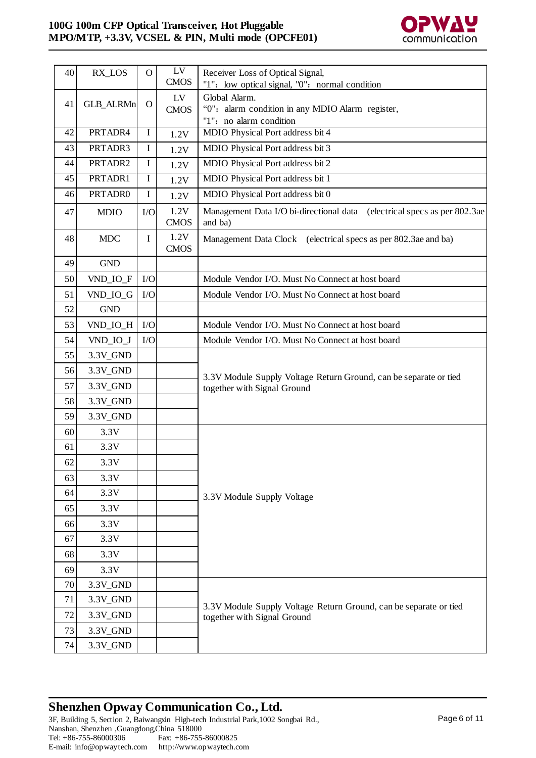

| 40 | RX_LOS           | $\mathbf{O}$ | LV<br><b>CMOS</b>   | Receiver Loss of Optical Signal,<br>"1": low optical signal, "0": normal condition               |  |
|----|------------------|--------------|---------------------|--------------------------------------------------------------------------------------------------|--|
| 41 | <b>GLB_ALRMn</b> | $\mathbf{O}$ | LV<br><b>CMOS</b>   | Global Alarm.<br>"0": alarm condition in any MDIO Alarm register,<br>"1": no alarm condition     |  |
| 42 | PRTADR4          | $\mathbf I$  | 1.2V                | MDIO Physical Port address bit 4                                                                 |  |
| 43 | PRTADR3          | I            | 1.2V                | MDIO Physical Port address bit 3                                                                 |  |
| 44 | PRTADR2          | $\mathbf I$  | 1.2V                | MDIO Physical Port address bit 2                                                                 |  |
| 45 | PRTADR1          | $\mathbf I$  | 1.2V                | MDIO Physical Port address bit 1                                                                 |  |
| 46 | PRTADR0          | $\mathbf I$  | 1.2V                | MDIO Physical Port address bit 0                                                                 |  |
| 47 | <b>MDIO</b>      | I/O          | 1.2V<br><b>CMOS</b> | Management Data I/O bi-directional data (electrical specs as per 802.3ae)<br>and ba)             |  |
| 48 | <b>MDC</b>       | $\mathbf I$  | 1.2V<br><b>CMOS</b> | Management Data Clock (electrical specs as per 802.3ae and ba)                                   |  |
| 49 | <b>GND</b>       |              |                     |                                                                                                  |  |
| 50 | VND_IO_F         | I/O          |                     | Module Vendor I/O. Must No Connect at host board                                                 |  |
| 51 | VND_IO_G         | I/O          |                     | Module Vendor I/O. Must No Connect at host board                                                 |  |
| 52 | <b>GND</b>       |              |                     |                                                                                                  |  |
| 53 | VND_IO_H         | I/O          |                     | Module Vendor I/O. Must No Connect at host board                                                 |  |
| 54 | VND_IO_J         | I/O          |                     | Module Vendor I/O. Must No Connect at host board                                                 |  |
| 55 | 3.3V_GND         |              |                     |                                                                                                  |  |
| 56 | 3.3V_GND         |              |                     | 3.3V Module Supply Voltage Return Ground, can be separate or tied                                |  |
| 57 | 3.3V_GND         |              |                     | together with Signal Ground                                                                      |  |
| 58 | 3.3V_GND         |              |                     |                                                                                                  |  |
| 59 | 3.3V_GND         |              |                     |                                                                                                  |  |
| 60 | 3.3V             |              |                     |                                                                                                  |  |
| 61 | 3.3V             |              |                     |                                                                                                  |  |
| 62 | 3.3V             |              |                     |                                                                                                  |  |
| 63 | 3.3V             |              |                     |                                                                                                  |  |
| 64 | 3.3V             |              |                     | 3.3V Module Supply Voltage                                                                       |  |
| 65 | 3.3V             |              |                     |                                                                                                  |  |
| 66 | 3.3V             |              |                     |                                                                                                  |  |
| 67 | 3.3V             |              |                     |                                                                                                  |  |
| 68 | 3.3V             |              |                     |                                                                                                  |  |
| 69 | 3.3V             |              |                     |                                                                                                  |  |
| 70 | 3.3V_GND         |              |                     |                                                                                                  |  |
| 71 | 3.3V_GND         |              |                     | 3.3V Module Supply Voltage Return Ground, can be separate or tied<br>together with Signal Ground |  |
| 72 | 3.3V_GND         |              |                     |                                                                                                  |  |
| 73 | 3.3V_GND         |              |                     |                                                                                                  |  |
| 74 | 3.3V_GND         |              |                     |                                                                                                  |  |

# **Shenzhen Opway Communication Co., Ltd.**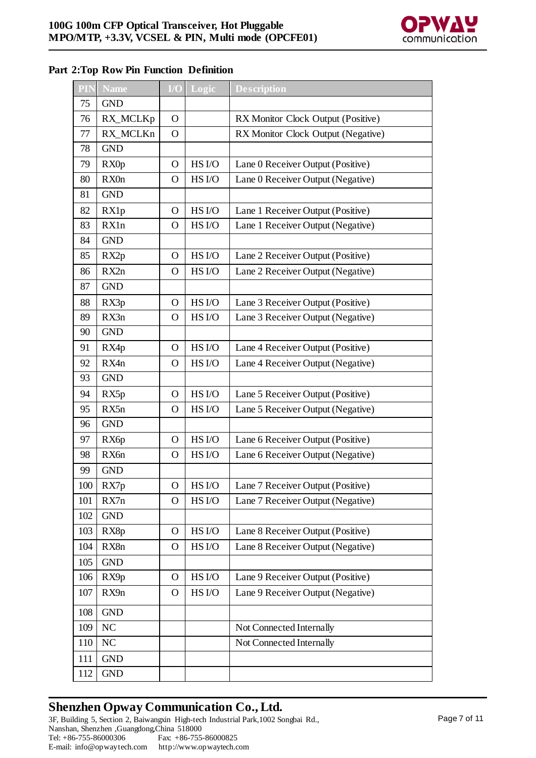

#### **Part 2:Top Row Pin Function Definition**

| PIN | <b>Name</b>       | I/O           | Logic             | <b>Description</b>                 |
|-----|-------------------|---------------|-------------------|------------------------------------|
| 75  | <b>GND</b>        |               |                   |                                    |
| 76  | RX_MCLKp          | $\mathbf{O}$  |                   | RX Monitor Clock Output (Positive) |
| 77  | RX_MCLKn          | $\mathbf{O}$  |                   | RX Monitor Clock Output (Negative) |
| 78  | <b>GND</b>        |               |                   |                                    |
| 79  | RX0p              | $\mathbf O$   | HS I/O            | Lane 0 Receiver Output (Positive)  |
| 80  | RX0n              | $\mathbf O$   | HS I/O            | Lane 0 Receiver Output (Negative)  |
| 81  | <b>GND</b>        |               |                   |                                    |
| 82  | RX1p              | $\mathbf O$   | HS I/O            | Lane 1 Receiver Output (Positive)  |
| 83  | RX1n              | $\mathbf O$   | HS I/O            | Lane 1 Receiver Output (Negative)  |
| 84  | <b>GND</b>        |               |                   |                                    |
| 85  | RX2p              | $\mathbf{O}$  | HS I/O            | Lane 2 Receiver Output (Positive)  |
| 86  | RX2n              | $\mathbf O$   | HS <sub>I/O</sub> | Lane 2 Receiver Output (Negative)  |
| 87  | <b>GND</b>        |               |                   |                                    |
| 88  | RX3p              | $\mathbf O$   | HS I/O            | Lane 3 Receiver Output (Positive)  |
| 89  | RX3n              | $\mathbf O$   | HS <sub>I/O</sub> | Lane 3 Receiver Output (Negative)  |
| 90  | <b>GND</b>        |               |                   |                                    |
| 91  | RX4p              | $\mathbf{O}$  | HS I/O            | Lane 4 Receiver Output (Positive)  |
| 92  | RX4n              | $\mathbf O$   | HS I/O            | Lane 4 Receiver Output (Negative)  |
| 93  | <b>GND</b>        |               |                   |                                    |
| 94  | RX5p              | $\mathbf{O}$  | HS I/O            | Lane 5 Receiver Output (Positive)  |
| 95  | RX5n              | $\mathbf O$   | HS I/O            | Lane 5 Receiver Output (Negative)  |
| 96  | <b>GND</b>        |               |                   |                                    |
| 97  | RX <sub>6</sub> p | $\mathbf{O}$  | HS I/O            | Lane 6 Receiver Output (Positive)  |
| 98  | RX6n              | $\mathbf O$   | HS I/O            | Lane 6 Receiver Output (Negative)  |
| 99  | <b>GND</b>        |               |                   |                                    |
| 100 | RX7p              | $\mathcal{O}$ | HS I/O            | Lane 7 Receiver Output (Positive)  |
| 101 | RX7n              | $\mathbf{O}$  | HS I/O            | Lane 7 Receiver Output (Negative)  |
| 102 | <b>GND</b>        |               |                   |                                    |
| 103 | RX8p              | $\mathbf{O}$  | HS I/O            | Lane 8 Receiver Output (Positive)  |
| 104 | RX8n              | O             | HS I/O            | Lane 8 Receiver Output (Negative)  |
| 105 | <b>GND</b>        |               |                   |                                    |
| 106 | RX9p              | $\mathbf{O}$  | HS I/O            | Lane 9 Receiver Output (Positive)  |
| 107 | RX9n              | O             | HS I/O            | Lane 9 Receiver Output (Negative)  |
| 108 | <b>GND</b>        |               |                   |                                    |
| 109 | N <sub>C</sub>    |               |                   | Not Connected Internally           |
| 110 | <b>NC</b>         |               |                   | Not Connected Internally           |
| 111 | <b>GND</b>        |               |                   |                                    |
| 112 | <b>GND</b>        |               |                   |                                    |

# **Shenzhen Opway Communication Co., Ltd.**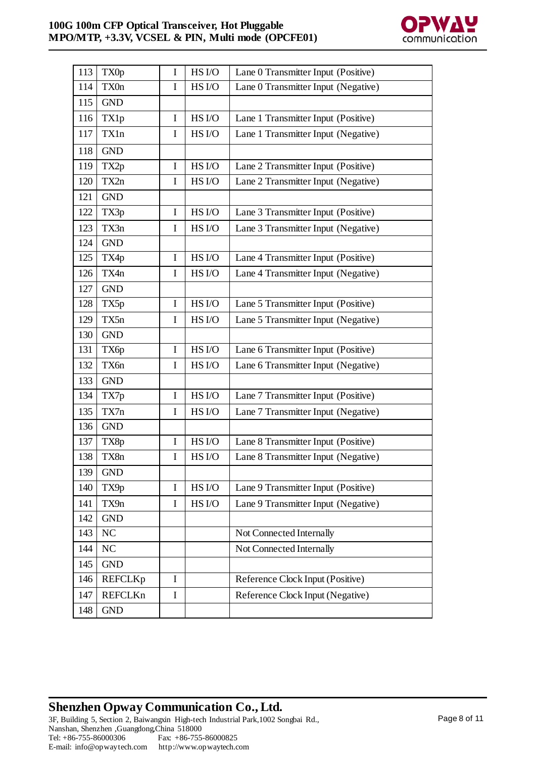

| 113 | TX0p           | $\mathbf I$ | HS I/O            | Lane 0 Transmitter Input (Positive) |  |  |  |
|-----|----------------|-------------|-------------------|-------------------------------------|--|--|--|
| 114 | TX0n           | I           | HS I/O            | Lane 0 Transmitter Input (Negative) |  |  |  |
| 115 | <b>GND</b>     |             |                   |                                     |  |  |  |
| 116 | TX1p           | I           | HS I/O            | Lane 1 Transmitter Input (Positive) |  |  |  |
| 117 | TX1n           | I           | HS I/O            | Lane 1 Transmitter Input (Negative) |  |  |  |
| 118 | <b>GND</b>     |             |                   |                                     |  |  |  |
| 119 | TX2p           | I           | HS I/O            | Lane 2 Transmitter Input (Positive) |  |  |  |
| 120 | TX2n           | I           | HS I/O            | Lane 2 Transmitter Input (Negative) |  |  |  |
| 121 | <b>GND</b>     |             |                   |                                     |  |  |  |
| 122 | TX3p           | I           | HS I/O            | Lane 3 Transmitter Input (Positive) |  |  |  |
| 123 | TX3n           | I           | HS I/O            | Lane 3 Transmitter Input (Negative) |  |  |  |
| 124 | <b>GND</b>     |             |                   |                                     |  |  |  |
| 125 | TX4p           | I           | HS I/O            | Lane 4 Transmitter Input (Positive) |  |  |  |
| 126 | TX4n           | I           | HS I/O            | Lane 4 Transmitter Input (Negative) |  |  |  |
| 127 | <b>GND</b>     |             |                   |                                     |  |  |  |
| 128 | TX5p           | I           | HS I/O            | Lane 5 Transmitter Input (Positive) |  |  |  |
| 129 | TX5n           | I           | HS I/O            | Lane 5 Transmitter Input (Negative) |  |  |  |
| 130 | <b>GND</b>     |             |                   |                                     |  |  |  |
| 131 | TX6p           | I           | HS I/O            | Lane 6 Transmitter Input (Positive) |  |  |  |
| 132 | TX6n           | I           | HS <sub>I/O</sub> | Lane 6 Transmitter Input (Negative) |  |  |  |
| 133 | <b>GND</b>     |             |                   |                                     |  |  |  |
| 134 | TX7p           | I           | HS I/O            | Lane 7 Transmitter Input (Positive) |  |  |  |
| 135 | TX7n           | I           | HS I/O            | Lane 7 Transmitter Input (Negative) |  |  |  |
| 136 | <b>GND</b>     |             |                   |                                     |  |  |  |
| 137 | TX8p           | I           | HS I/O            | Lane 8 Transmitter Input (Positive) |  |  |  |
| 138 | TX8n           | I           | HS I/O            | Lane 8 Transmitter Input (Negative) |  |  |  |
| 139 | <b>GND</b>     |             |                   |                                     |  |  |  |
| 140 | TX9p           | I           | HS I/O            | Lane 9 Transmitter Input (Positive) |  |  |  |
| 141 | TX9n           | $\bf{I}$    | HS I/O            | Lane 9 Transmitter Input (Negative) |  |  |  |
| 142 | <b>GND</b>     |             |                   |                                     |  |  |  |
| 143 | NC             |             |                   | Not Connected Internally            |  |  |  |
| 144 | NC             |             |                   | Not Connected Internally            |  |  |  |
| 145 | <b>GND</b>     |             |                   |                                     |  |  |  |
| 146 | <b>REFCLKp</b> | I           |                   | Reference Clock Input (Positive)    |  |  |  |
| 147 | <b>REFCLKn</b> | I           |                   | Reference Clock Input (Negative)    |  |  |  |
| 148 | <b>GND</b>     |             |                   |                                     |  |  |  |

# **Shenzhen Opway Communication Co., Ltd.** 3F, Building 5, Section 2, Baiwangxin High-tech Industrial Park,1002 Songbai Rd.,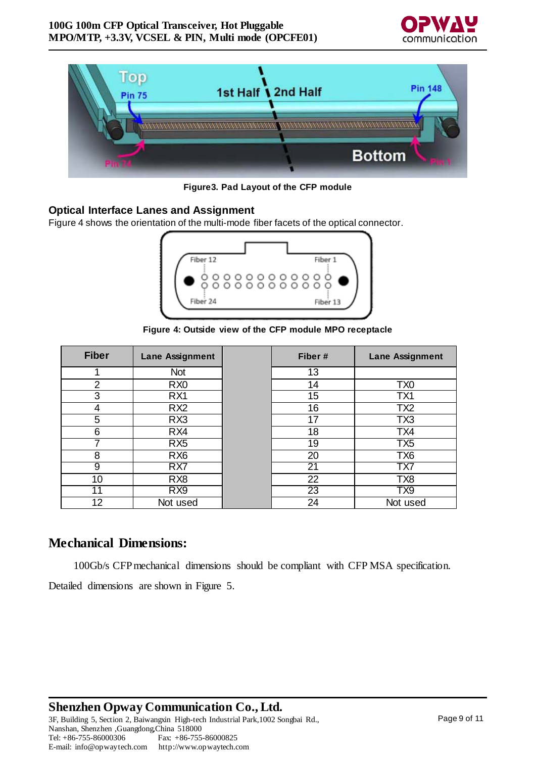



**Figure3. Pad Layout of the CFP module**

#### **Optical Interface Lanes and Assignment**

Figure 4 shows the orientation of the multi-mode fiber facets of the optical connector.



**Figure 4: Outside view of the CFP module MPO receptacle**

| <b>Fiber</b>   | Lane Assignment | Fiber #         | <b>Lane Assignment</b> |
|----------------|-----------------|-----------------|------------------------|
|                | <b>Not</b>      | 13              |                        |
| $\overline{2}$ | R <sub>X0</sub> | 14              | TX <sub>0</sub>        |
| 3              | RX1             | 15              | TX1                    |
| 4              | RX <sub>2</sub> | 16              | TX <sub>2</sub>        |
| 5              | RX3             | 17              | TX3                    |
| 6              | RX4             | 18              | TX4                    |
|                | RX5             | 19              | TX5                    |
| 8              | RX <sub>6</sub> | 20              | TX <sub>6</sub>        |
| 9              | RX <sub>7</sub> | 21              | TX7                    |
| 10             | RX <sub>8</sub> | 22              | TX8                    |
| 11             | RX9             | $\overline{23}$ | TX <sub>9</sub>        |
| 12             | Not used        | 24              | Not used               |

#### **Mechanical Dimensions:**

100Gb/s CFPmechanical dimensions should be compliant with CFP MSA specification.

Detailed dimensions are shown in Figure 5.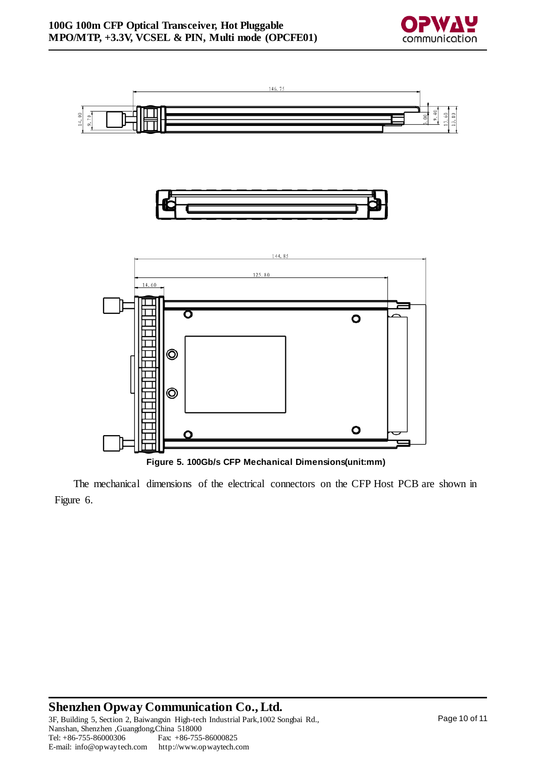



146.75

**Figure 5. 100Gb/s CFP Mechanical Dimensions(unit:mm)**

The mechanical dimensions of the electrical connectors on the CFP Host PCB are shown in Figure 6.